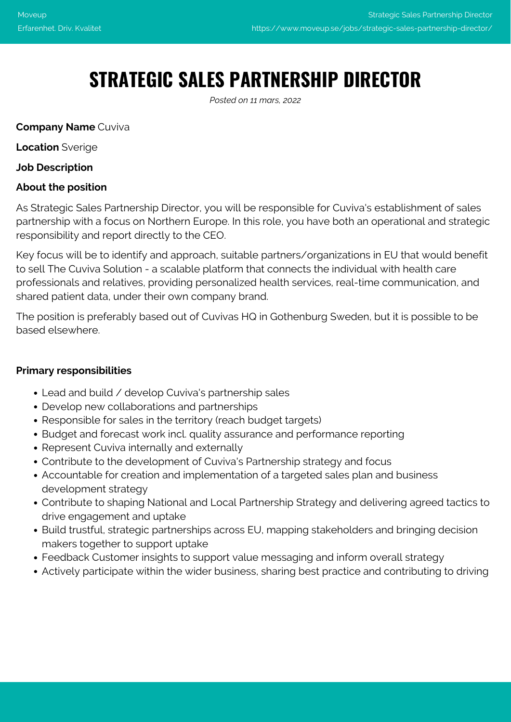# **STRATEGIC SALES PARTNERSHIP DIRECTOR**

*Posted on 11 mars, 2022*

## **Company Name** Cuviva

**Location** Sverige

## **Job Description**

## **About the position**

As Strategic Sales Partnership Director, you will be responsible for Cuviva's establishment of sales partnership with a focus on Northern Europe. In this role, you have both an operational and strategic responsibility and report directly to the CEO.

Key focus will be to identify and approach, suitable partners/organizations in EU that would benefit to sell The Cuviva Solution - a scalable platform that connects the individual with health care professionals and relatives, providing personalized health services, real-time communication, and shared patient data, under their own company brand.

The position is preferably based out of Cuvivas HQ in Gothenburg Sweden, but it is possible to be based elsewhere.

## **Primary responsibilities**

- Lead and build / develop Cuviva's partnership sales
- Develop new collaborations and partnerships
- Responsible for sales in the territory (reach budget targets)
- Budget and forecast work incl. quality assurance and performance reporting
- Represent Cuviva internally and externally
- Contribute to the development of Cuviva's Partnership strategy and focus
- Accountable for creation and implementation of a targeted sales plan and business development strategy
- Contribute to shaping National and Local Partnership Strategy and delivering agreed tactics to drive engagement and uptake
- Build trustful, strategic partnerships across EU, mapping stakeholders and bringing decision makers together to support uptake
- Feedback Customer insights to support value messaging and inform overall strategy
- Actively participate within the wider business, sharing best practice and contributing to driving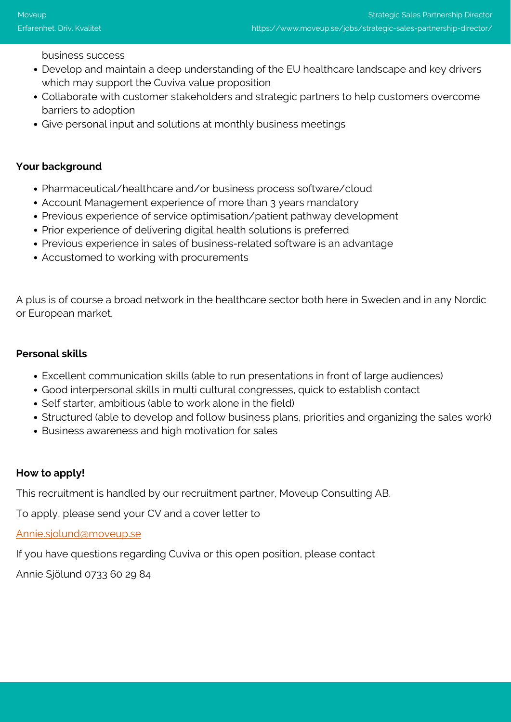business success

- Develop and maintain a deep understanding of the EU healthcare landscape and key drivers which may support the Cuviva value proposition
- Collaborate with customer stakeholders and strategic partners to help customers overcome barriers to adoption
- Give personal input and solutions at monthly business meetings

#### **Your background**

- Pharmaceutical/healthcare and/or business process software/cloud
- Account Management experience of more than 3 years mandatory
- Previous experience of service optimisation/patient pathway development
- Prior experience of delivering digital health solutions is preferred
- Previous experience in sales of business-related software is an advantage
- Accustomed to working with procurements

A plus is of course a broad network in the healthcare sector both here in Sweden and in any Nordic or European market.

#### **Personal skills**

- Excellent communication skills (able to run presentations in front of large audiences)
- Good interpersonal skills in multi cultural congresses, quick to establish contact
- Self starter, ambitious (able to work alone in the field)
- Structured (able to develop and follow business plans, priorities and organizing the sales work)
- Business awareness and high motivation for sales

## **How to apply!**

This recruitment is handled by our recruitment partner, Moveup Consulting AB.

To apply, please send your CV and a cover letter to

[Annie.sjolund@moveup.se](mailto:Annie.sjolund@moveup.se)

If you have questions regarding Cuviva or this open position, please contact

Annie Sjölund 0733 60 29 84